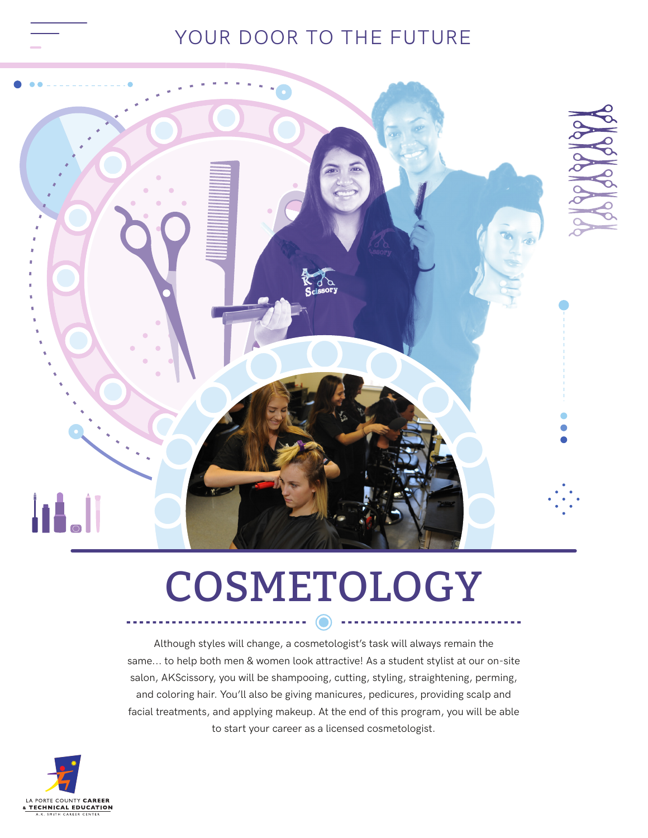## YOUR DOOR TO THE FUTURE



## COSMETOLOGY

 $\sim 100$  m  $^{-1}$ 

. . . . . . .

Although styles will change, a cosmetologist's task will always remain the same... to help both men & women look attractive! As a student stylist at our on-site salon, AKScissory, you will be shampooing, cutting, styling, straightening, perming, and coloring hair. You'll also be giving manicures, pedicures, providing scalp and facial treatments, and applying makeup. At the end of this program, you will be able to start your career as a licensed cosmetologist.